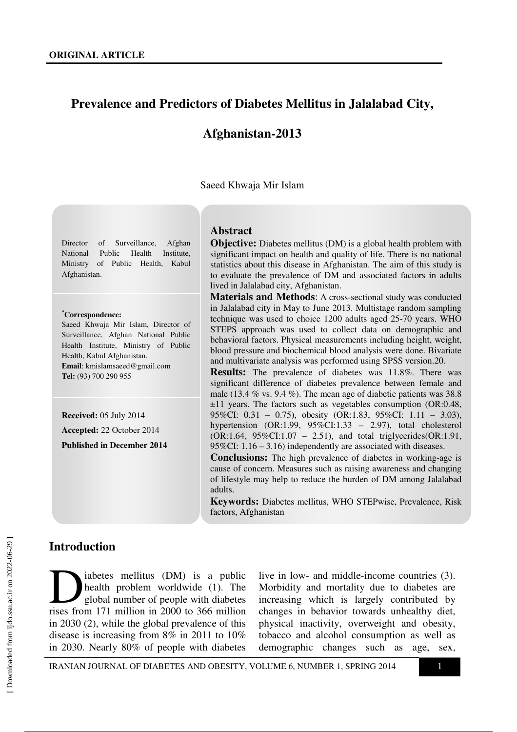# **Prevalence and Predictors of Diabetes Mellitus in Jalalabad City,**

# **Afghanistan-2013**

Saeed Khwaja Mir Islam

Director of Surveillance, Afghan National Public Health Institute, Ministry of Public Health, Kabul Afghanistan.

#### **\*Correspondence:**

Saeed Khwaja Mir Islam, Director of Surveillance, Afghan National Public Health Institute, Ministry of Public Health, Kabul Afghanistan. **Email**: kmislamsaeed@gmail.com **Tel:** (93) 700 290 955

**Received:** 05 July 2014 **Accepted:** 22 October 2014

**Published in December 2014** 

#### **Abstract**

**Objective:** Diabetes mellitus (DM) is a global health problem with significant impact on health and quality of life. There is no national statistics about this disease in Afghanistan. The aim of this study is to evaluate the prevalence of DM and associated factors in adults lived in Jalalabad city, Afghanistan.

**Materials and Methods**: A cross-sectional study was conducted in Jalalabad city in May to June 2013. Multistage random sampling technique was used to choice 1200 adults aged 25-70 years. WHO STEPS approach was used to collect data on demographic and behavioral factors. Physical measurements including height, weight, blood pressure and biochemical blood analysis were done. Bivariate and multivariate analysis was performed using SPSS version.20.

**Results:** The prevalence of diabetes was 11.8%. There was significant difference of diabetes prevalence between female and male (13.4 % vs. 9.4 %). The mean age of diabetic patients was 38.8 ±11 years. The factors such as vegetables consumption (OR:0.48, 95%CI: 0.31 – 0.75), obesity (OR:1.83, 95%CI: 1.11 – 3.03), hypertension (OR:1.99, 95%CI:1.33 – 2.97), total cholesterol (OR:1.64, 95%CI:1.07 – 2.51), and total triglycerides(OR:1.91, 95%CI: 1.16 – 3.16) independently are associated with diseases.

**Conclusions:** The high prevalence of diabetes in working-age is cause of concern. Measures such as raising awareness and changing of lifestyle may help to reduce the burden of DM among Jalalabad adults.

**Keywords:** Diabetes mellitus, WHO STEPwise, Prevalence, Risk factors, Afghanistan

#### **Introduction**

iabetes mellitus (DM) is a public health problem worldwide (1). The global number of people with diabetes abetes mellitus (DM) is a public<br>health problem worldwide (1). The<br>global number of people with diabetes<br>rises from 171 million in 2000 to 366 million in 2030 (2), while the global prevalence of this disease is increasing from 8% in 2011 to 10% in 2030. Nearly 80% of people with diabetes

live in low- and middle-income countries (3). Morbidity and mortality due to diabetes are increasing which is largely contributed by changes in behavior towards unhealthy diet, physical inactivity, overweight and obesity, tobacco and alcohol consumption as well as demographic changes such as age, sex,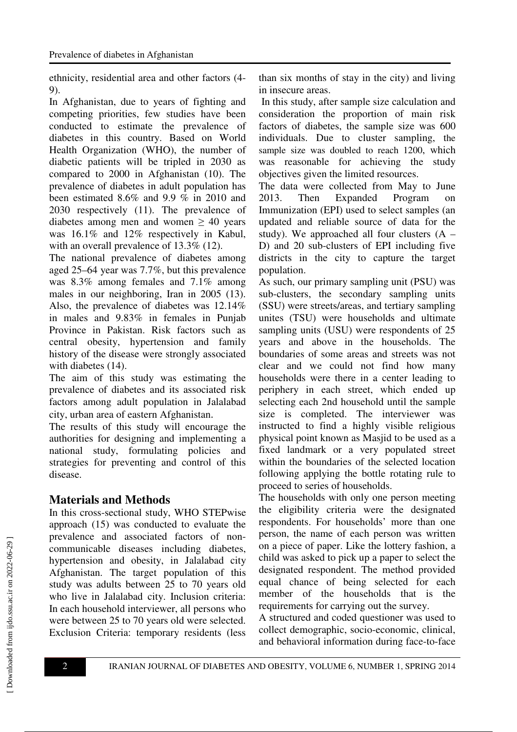ethnicity, residential area and other factors (4- 9).

In Afghanistan, due to years of fighting and competing priorities, few studies have been conducted to estimate the prevalence of diabetes in this country. Based on World Health Organization (WHO), the number of diabetic patients will be tripled in 2030 as compared to 2000 in Afghanistan (10). The prevalence of diabetes in adult population has been estimated 8.6% and 9.9 % in 2010 and 2030 respectively (11). The prevalence of diabetes among men and women  $\geq 40$  years was 16.1% and 12% respectively in Kabul, with an overall prevalence of 13.3% (12).

The national prevalence of diabetes among aged 25–64 year was 7.7%, but this prevalence was 8.3% among females and 7.1% among males in our neighboring, Iran in 2005 (13). Also, the prevalence of diabetes was 12.14% in males and 9.83% in females in Punjab Province in Pakistan. Risk factors such as central obesity, hypertension and family history of the disease were strongly associated with diabetes (14).

The aim of this study was estimating the prevalence of diabetes and its associated risk factors among adult population in Jalalabad city, urban area of eastern Afghanistan.

The results of this study will encourage the authorities for designing and implementing a national study, formulating policies and strategies for preventing and control of this disease.

# **Materials and Methods**

In this cross-sectional study, WHO STEPwise approach (15) was conducted to evaluate the prevalence and associated factors of noncommunicable diseases including diabetes, hypertension and obesity, in Jalalabad city Afghanistan. The target population of this study was adults between 25 to 70 years old who live in Jalalabad city. Inclusion criteria: In each household interviewer, all persons who were between 25 to 70 years old were selected. Exclusion Criteria: temporary residents (less than six months of stay in the city) and living in insecure areas.

 In this study, after sample size calculation and consideration the proportion of main risk factors of diabetes, the sample size was 600 individuals. Due to cluster sampling, the sample size was doubled to reach 1200, which was reasonable for achieving the study objectives given the limited resources.

The data were collected from May to June 2013. Then Expanded Program on Immunization (EPI) used to select samples (an updated and reliable source of data for the study). We approached all four clusters  $(A -$ D) and 20 sub-clusters of EPI including five districts in the city to capture the target population.

As such, our primary sampling unit (PSU) was sub-clusters, the secondary sampling units (SSU) were streets/areas, and tertiary sampling unites (TSU) were households and ultimate sampling units (USU) were respondents of 25 years and above in the households. The boundaries of some areas and streets was not clear and we could not find how many households were there in a center leading to periphery in each street, which ended up selecting each 2nd household until the sample size is completed. The interviewer was instructed to find a highly visible religious physical point known as Masjid to be used as a fixed landmark or a very populated street within the boundaries of the selected location following applying the bottle rotating rule to proceed to series of households.

The households with only one person meeting the eligibility criteria were the designated respondents. For households' more than one person, the name of each person was written on a piece of paper. Like the lottery fashion, a child was asked to pick up a paper to select the designated respondent. The method provided equal chance of being selected for each member of the households that is the requirements for carrying out the survey.

A structured and coded questioner was used to collect demographic, socio-economic, clinical, and behavioral information during face-to-face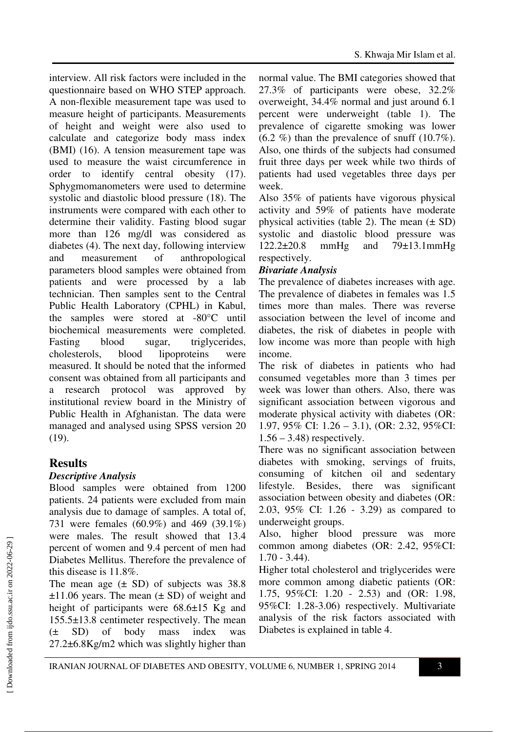interview. All risk factors were included in the questionnaire based on WHO STEP approach. A non-flexible measurement tape was used to measure height of participants. Measurements of height and weight were also used to calculate and categorize body mass index (BMI) (16). A tension measurement tape was used to measure the waist circumference in order to identify central obesity (17). Sphygmomanometers were used to determine systolic and diastolic blood pressure (18). The instruments were compared with each other to determine their validity. Fasting blood sugar more than 126 mg/dl was considered as diabetes (4). The next day, following interview and measurement of anthropological parameters blood samples were obtained from patients and were processed by a lab technician. Then samples sent to the Central Public Health Laboratory (CPHL) in Kabul, the samples were stored at -80°C until biochemical measurements were completed. Fasting blood sugar, triglycerides, cholesterols, blood lipoproteins were measured. It should be noted that the informed consent was obtained from all participants and a research protocol was approved by institutional review board in the Ministry of Public Health in Afghanistan. The data were managed and analysed using SPSS version 20 (19).

# **Results**

### *Descriptive Analysis*

Blood samples were obtained from 1200 patients. 24 patients were excluded from main analysis due to damage of samples. A total of, 731 were females (60.9%) and 469 (39.1%) were males. The result showed that 13.4 percent of women and 9.4 percent of men had Diabetes Mellitus. Therefore the prevalence of this disease is 11.8%.

The mean age  $(\pm$  SD) of subjects was 38.8  $\pm$ 11.06 years. The mean ( $\pm$  SD) of weight and height of participants were  $68.6\pm15$  Kg and 155.5±13.8 centimeter respectively. The mean (± SD) of body mass index was 27.2±6.8Kg/m2 which was slightly higher than

normal value. The BMI categories showed that 27.3% of participants were obese, 32.2% overweight, 34.4% normal and just around 6.1 percent were underweight (table 1). The prevalence of cigarette smoking was lower  $(6.2 \%)$  than the prevalence of snuff  $(10.7\%)$ . Also, one thirds of the subjects had consumed fruit three days per week while two thirds of patients had used vegetables three days per week.

Also 35% of patients have vigorous physical activity and 59% of patients have moderate physical activities (table 2). The mean  $(\pm SD)$ systolic and diastolic blood pressure was 122.2±20.8 mmHg and 79±13.1mmHg respectively.

### *Bivariate Analysis*

The prevalence of diabetes increases with age. The prevalence of diabetes in females was 1.5 times more than males. There was reverse association between the level of income and diabetes, the risk of diabetes in people with low income was more than people with high income.

The risk of diabetes in patients who had consumed vegetables more than 3 times per week was lower than others. Also, there was significant association between vigorous and moderate physical activity with diabetes (OR: 1.97, 95% CI: 1.26 – 3.1), (OR: 2.32, 95%CI:  $1.56 - 3.48$ ) respectively.

There was no significant association between diabetes with smoking, servings of fruits, consuming of kitchen oil and sedentary lifestyle. Besides, there was significant association between obesity and diabetes (OR: 2.03, 95% CI: 1.26 - 3.29) as compared to underweight groups.

Also, higher blood pressure was more common among diabetes (OR: 2.42, 95%CI: 1.70 - 3.44).

Higher total cholesterol and triglycerides were more common among diabetic patients (OR: 1.75, 95%CI: 1.20 - 2.53) and (OR: 1.98, 95%CI: 1.28-3.06) respectively. Multivariate analysis of the risk factors associated with Diabetes is explained in table 4.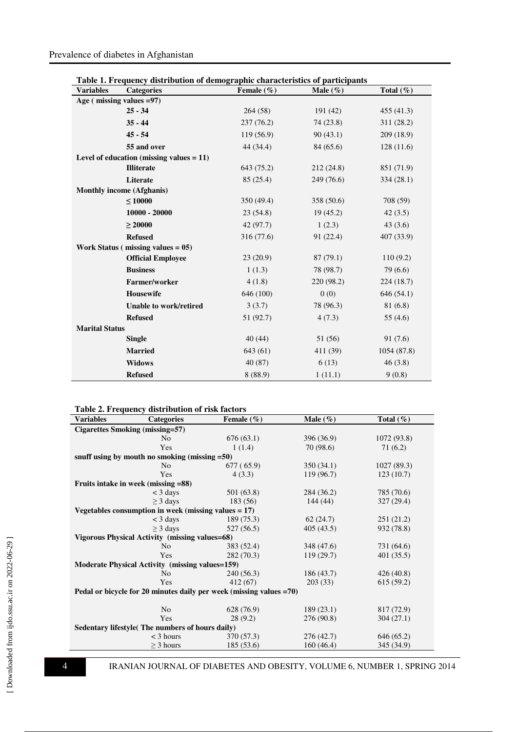### Prevalence of diabetes in Afghanistan

|  |  | Table 1. Frequency distribution of demographic characteristics of participants |  |
|--|--|--------------------------------------------------------------------------------|--|
|  |  |                                                                                |  |

| <b>Variables</b>            | <b>Categories</b>                           | Female $(\% )$ | Male $(\%)$ | Total $(\% )$ |
|-----------------------------|---------------------------------------------|----------------|-------------|---------------|
| Age ( $missing$ values =97) |                                             |                |             |               |
|                             | $25 - 34$                                   | 264(58)        | 191 (42)    | 455 (41.3)    |
|                             | $35 - 44$                                   | 237 (76.2)     | 74 (23.8)   | 311 (28.2)    |
|                             | $45 - 54$                                   | 119(56.9)      | 90(43.1)    | 209 (18.9)    |
|                             | 55 and over                                 | 44 (34.4)      | 84 (65.6)   | 128(11.6)     |
|                             | Level of education (missing values $= 11$ ) |                |             |               |
|                             | <b>Illiterate</b>                           | 643 (75.2)     | 212 (24.8)  | 851 (71.9)    |
|                             | Literate                                    | 85(25.4)       | 249 (76.6)  | 334 (28.1)    |
|                             | <b>Monthly income (Afghanis)</b>            |                |             |               |
|                             | $\leq 10000$                                | 350(49.4)      | 358 (50.6)  | 708 (59)      |
|                             | $10000 - 20000$                             | 23(54.8)       | 19(45.2)    | 42(3.5)       |
|                             | $\geq 20000$                                | 42 (97.7)      | 1(2.3)      | 43(3.6)       |
|                             | <b>Refused</b>                              | 316 (77.6)     | 91 (22.4)   | 407 (33.9)    |
|                             | Work Status ( $missing$ values = 05)        |                |             |               |
|                             | <b>Official Employee</b>                    | 23(20.9)       | 87(79.1)    | 110(9.2)      |
|                             | <b>Business</b>                             | 1(1.3)         | 78 (98.7)   | 79 (6.6)      |
|                             | Farmer/worker                               | 4(1.8)         | 220 (98.2)  | 224(18.7)     |
|                             | <b>Housewife</b>                            | 646 (100)      | 0(0)        | 646 (54.1)    |
|                             | Unable to work/retired                      | 3(3.7)         | 78 (96.3)   | 81 (6.8)      |
|                             | <b>Refused</b>                              | 51 (92.7)      | 4(7.3)      | 55(4.6)       |
| <b>Marital Status</b>       |                                             |                |             |               |
|                             | <b>Single</b>                               | 40(44)         | 51 (56)     | 91(7.6)       |
|                             | <b>Married</b>                              | 643 (61)       | 411 (39)    | 1054 (87.8)   |
|                             | <b>Widows</b>                               | 40(87)         | 6(13)       | 46(3.8)       |
|                             | <b>Refused</b>                              | 8(88.9)        | 1(11.1)     | 9(0.8)        |

| <b>Variables</b>                                                    | <b>Categories</b>                                | Female $(\% )$ | Male $(\% )$ | Total $(\% )$ |  |
|---------------------------------------------------------------------|--------------------------------------------------|----------------|--------------|---------------|--|
| Cigarettes Smoking (missing=57)                                     |                                                  |                |              |               |  |
|                                                                     | N <sub>0</sub>                                   | 676(63.1)      | 396 (36.9)   | 1072 (93.8)   |  |
|                                                                     | Yes                                              | 1(1.4)         | 70 (98.6)    | 71 (6.2)      |  |
|                                                                     | snuff using by mouth no smoking (missing $=50$ ) |                |              |               |  |
|                                                                     | N <sub>0</sub>                                   | 677 (65.9)     | 350(34.1)    | 1027 (89.3)   |  |
|                                                                     | Yes                                              | 4(3.3)         | 119(96.7)    | 123(10.7)     |  |
| Fruits intake in week (missing =88)                                 |                                                  |                |              |               |  |
|                                                                     | $<$ 3 days                                       | 501 (63.8)     | 284 (36.2)   | 785 (70.6)    |  |
|                                                                     | $\geq$ 3 days                                    | 183 (56)       | 144(44)      | 327(29.4)     |  |
| Vegetables consumption in week (missing values $= 17$ )             |                                                  |                |              |               |  |
|                                                                     | $<$ 3 days                                       | 189(75.3)      | 62(24.7)     | 251(21.2)     |  |
|                                                                     | $\geq$ 3 days                                    | 527 (56.5)     | 405(43.5)    | 932 (78.8)    |  |
| Vigorous Physical Activity (missing values=68)                      |                                                  |                |              |               |  |
|                                                                     | N <sub>0</sub>                                   | 383 (52.4)     | 348 (47.6)   | 731 (64.6)    |  |
|                                                                     | Yes                                              | 282 (70.3)     | 119(29.7)    | 401(35.5)     |  |
| <b>Moderate Physical Activity (missing values=159)</b>              |                                                  |                |              |               |  |
|                                                                     | N <sub>0</sub>                                   | 240 (56.3)     | 186(43.7)    | 426(40.8)     |  |
|                                                                     | Yes                                              | 412(67)        | 203(33)      | 615(59.2)     |  |
| Pedal or bicycle for 20 minutes daily per week (missing values =70) |                                                  |                |              |               |  |
|                                                                     |                                                  |                |              |               |  |
|                                                                     | N <sub>o</sub>                                   | 628 (76.9)     | 189(23.1)    | 817 (72.9)    |  |
|                                                                     | Yes                                              | 28(9.2)        | 276 (90.8)   | 304(27.1)     |  |
| Sedentary lifestyle(The numbers of hours daily)                     |                                                  |                |              |               |  |
|                                                                     | $<$ 3 hours                                      | 370 (57.3)     | 276 (42.7)   | 646(65.2)     |  |
|                                                                     | $\geq$ 3 hours                                   | 185(53.6)      | 160(46.4)    | 345 (34.9)    |  |

**4** IRANIAN JOURNAL OF DIABETES AND OBESITY, VOLUME 6, NUMBER 1, SPRING 2014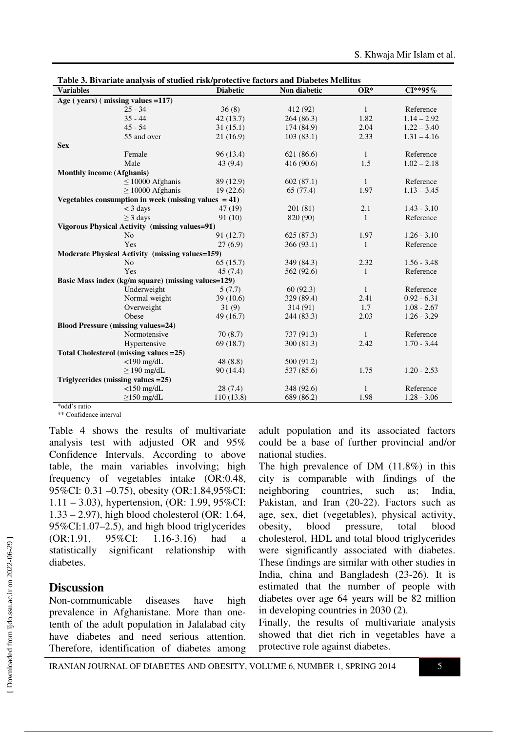| <b>Diabetic</b><br>$OR^*$<br>$CI**95%$<br>Non diabetic<br><b>Variables</b><br>Age (years) (missing values = 117)<br>36(8)<br>$25 - 34$<br>412 (92)<br>$\mathbf{1}$<br>Reference<br>$1.14 - 2.92$<br>$35 - 44$<br>1.82<br>42(13.7)<br>264(86.3) |  |  |  |  |  |
|------------------------------------------------------------------------------------------------------------------------------------------------------------------------------------------------------------------------------------------------|--|--|--|--|--|
|                                                                                                                                                                                                                                                |  |  |  |  |  |
|                                                                                                                                                                                                                                                |  |  |  |  |  |
|                                                                                                                                                                                                                                                |  |  |  |  |  |
|                                                                                                                                                                                                                                                |  |  |  |  |  |
| $1.22 - 3.40$<br>$45 - 54$<br>31(15.1)<br>2.04<br>174 (84.9)                                                                                                                                                                                   |  |  |  |  |  |
| 2.33<br>55 and over<br>21(16.9)<br>103(83.1)<br>$1.31 - 4.16$                                                                                                                                                                                  |  |  |  |  |  |
| <b>Sex</b>                                                                                                                                                                                                                                     |  |  |  |  |  |
| $\mathbf{1}$<br>Reference<br>Female<br>96(13.4)<br>621 (86.6)                                                                                                                                                                                  |  |  |  |  |  |
| $1.02 - 2.18$<br>Male<br>1.5<br>43(9.4)<br>416 (90.6)                                                                                                                                                                                          |  |  |  |  |  |
| <b>Monthly income (Afghanis)</b>                                                                                                                                                                                                               |  |  |  |  |  |
| Reference<br>$\leq$ 10000 Afghanis<br>89 (12.9)<br>602(87.1)<br>$\mathbf{1}$                                                                                                                                                                   |  |  |  |  |  |
| $\geq$ 10000 Afghanis<br>1.97<br>$1.13 - 3.45$<br>19(22.6)<br>65 (77.4)                                                                                                                                                                        |  |  |  |  |  |
| Vegetables consumption in week (missing values $= 41$ )                                                                                                                                                                                        |  |  |  |  |  |
| $<$ 3 days<br>201(81)<br>$1.43 - 3.10$<br>47 (19)<br>2.1                                                                                                                                                                                       |  |  |  |  |  |
| $\geq$ 3 days<br>91 (10)<br>820 (90)<br>$\mathbf{1}$<br>Reference                                                                                                                                                                              |  |  |  |  |  |
| Vigorous Physical Activity (missing values=91)                                                                                                                                                                                                 |  |  |  |  |  |
| 91 (12.7)<br>1.97<br>$1.26 - 3.10$<br>N <sub>o</sub><br>625(87.3)                                                                                                                                                                              |  |  |  |  |  |
| Yes<br>27(6.9)<br>Reference<br>366(93.1)<br>1                                                                                                                                                                                                  |  |  |  |  |  |
| <b>Moderate Physical Activity (missing values=159)</b>                                                                                                                                                                                         |  |  |  |  |  |
| $1.56 - 3.48$<br>N <sub>o</sub><br>65(15.7)<br>349 (84.3)<br>2.32                                                                                                                                                                              |  |  |  |  |  |
| Yes<br>Reference<br>45(7.4)<br>562 (92.6)<br>$\mathbf{1}$                                                                                                                                                                                      |  |  |  |  |  |
| Basic Mass index (kg/m square) (missing values=129)                                                                                                                                                                                            |  |  |  |  |  |
| Underweight<br>60(92.3)<br>1<br>Reference<br>5(7.7)                                                                                                                                                                                            |  |  |  |  |  |
| Normal weight<br>$0.92 - 6.31$<br>39(10.6)<br>329 (89.4)<br>2.41                                                                                                                                                                               |  |  |  |  |  |
| $1.08 - 2.67$<br>Overweight<br>31(9)<br>314(91)<br>1.7                                                                                                                                                                                         |  |  |  |  |  |
| Obese<br>2.03<br>$1.26 - 3.29$<br>49 (16.7)<br>244 (83.3)                                                                                                                                                                                      |  |  |  |  |  |
| <b>Blood Pressure (missing values=24)</b>                                                                                                                                                                                                      |  |  |  |  |  |
| Normotensive<br>Reference<br>70(8.7)<br>737 (91.3)<br>1                                                                                                                                                                                        |  |  |  |  |  |
| 69(18.7)<br>300(81.3)<br>2.42<br>$1.70 - 3.44$<br>Hypertensive                                                                                                                                                                                 |  |  |  |  |  |
| Total Cholesterol (missing values = 25)                                                                                                                                                                                                        |  |  |  |  |  |
| $<$ 190 mg/dL<br>48(8.8)<br>500 (91.2)                                                                                                                                                                                                         |  |  |  |  |  |
| $\geq$ 190 mg/dL<br>90(14.4)<br>1.75<br>$1.20 - 2.53$<br>537 (85.6)                                                                                                                                                                            |  |  |  |  |  |
| Triglycerides (missing values = 25)                                                                                                                                                                                                            |  |  |  |  |  |
| $<$ 150 mg/dL<br>Reference<br>28(7.4)<br>348 (92.6)<br>$\mathbf{1}$                                                                                                                                                                            |  |  |  |  |  |
| $\geq$ 150 mg/dL<br>1.98<br>$1.28 - 3.06$<br>110(13.8)<br>689 (86.2)                                                                                                                                                                           |  |  |  |  |  |

|--|

\*odd's ratio

\*\* Confidence interval

Table 4 shows the results of multivariate analysis test with adjusted OR and 95% Confidence Intervals. According to above table, the main variables involving; high frequency of vegetables intake (OR:0.48, 95%CI: 0.31 –0.75), obesity (OR:1.84,95%CI: 1.11 – 3.03), hypertension, (OR: 1.99, 95%CI: 1.33 – 2.97), high blood cholesterol (OR: 1.64, 95%CI:1.07–2.5), and high blood triglycerides (OR:1.91, 95%CI: 1.16-3.16) had a statistically significant relationship with diabetes.

#### **Discussion**

Non-communicable diseases have high prevalence in Afghanistane. More than onetenth of the adult population in Jalalabad city have diabetes and need serious attention. Therefore, identification of diabetes among adult population and its associated factors could be a base of further provincial and/or national studies.

The high prevalence of DM (11.8%) in this city is comparable with findings of the neighboring countries, such as; India, Pakistan, and Iran (20-22). Factors such as age, sex, diet (vegetables), physical activity, obesity, blood pressure, total blood cholesterol, HDL and total blood triglycerides were significantly associated with diabetes. These findings are similar with other studies in India, china and Bangladesh (23-26). It is estimated that the number of people with diabetes over age 64 years will be 82 million in developing countries in 2030 (2).

Finally, the results of multivariate analysis showed that diet rich in vegetables have a protective role against diabetes.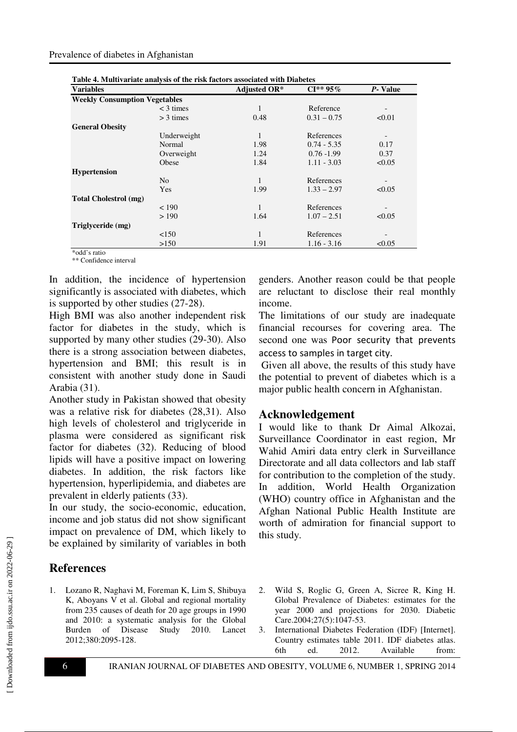| Table 4. Multivariate analysis of the risk factors associated with Diabetes |               |               |  |
|-----------------------------------------------------------------------------|---------------|---------------|--|
|                                                                             |               | P-Value       |  |
|                                                                             |               |               |  |
| 1                                                                           | Reference     |               |  |
| 0.48                                                                        | $0.31 - 0.75$ | < 0.01        |  |
|                                                                             |               |               |  |
|                                                                             | References    |               |  |
| 1.98                                                                        | $0.74 - 5.35$ | 0.17          |  |
| 1.24                                                                        | $0.76 - 1.99$ | 0.37          |  |
| 1.84                                                                        | $1.11 - 3.03$ | < 0.05        |  |
|                                                                             |               |               |  |
| 1                                                                           | References    |               |  |
| 1.99                                                                        | $1.33 - 2.97$ | < 0.05        |  |
|                                                                             |               |               |  |
| 1                                                                           | References    |               |  |
| 1.64                                                                        | $1.07 - 2.51$ | < 0.05        |  |
|                                                                             |               |               |  |
| 1                                                                           | References    |               |  |
| 1.91                                                                        | $1.16 - 3.16$ | < 0.05        |  |
|                                                                             | Adjusted OR*  | $CI^{**}95\%$ |  |

\*odd's ratio \*\* Confidence interval

In addition, the incidence of hypertension significantly is associated with diabetes, which is supported by other studies (27-28).

High BMI was also another independent risk factor for diabetes in the study, which is supported by many other studies (29-30). Also there is a strong association between diabetes, hypertension and BMI; this result is in consistent with another study done in Saudi Arabia (31).

Another study in Pakistan showed that obesity was a relative risk for diabetes (28,31). Also high levels of cholesterol and triglyceride in plasma were considered as significant risk factor for diabetes (32). Reducing of blood lipids will have a positive impact on lowering diabetes. In addition, the risk factors like hypertension, hyperlipidemia, and diabetes are prevalent in elderly patients (33).

In our study, the socio-economic, education, income and job status did not show significant impact on prevalence of DM, which likely to be explained by similarity of variables in both

# **References**

1. Lozano R, Naghavi M, Foreman K, Lim S, Shibuya K, Aboyans V et al. Global and regional mortality from 235 causes of death for 20 age groups in 1990 and 2010: a systematic analysis for the Global Burden of Disease Study 2010. Lancet 2012;380:2095-128.

genders. Another reason could be that people are reluctant to disclose their real monthly income.

The limitations of our study are inadequate financial recourses for covering area. The second one was Poor security that prevents access to samples in target city.

 Given all above, the results of this study have the potential to prevent of diabetes which is a major public health concern in Afghanistan.

#### **Acknowledgement**

I would like to thank Dr Aimal Alkozai, Surveillance Coordinator in east region, Mr Wahid Amiri data entry clerk in Surveillance Directorate and all data collectors and lab staff for contribution to the completion of the study. In addition, World Health Organization (WHO) country office in Afghanistan and the Afghan National Public Health Institute are worth of admiration for financial support to this study.

- 2. Wild S, Roglic G, Green A, Sicree R, King H. Global Prevalence of Diabetes: estimates for the year 2000 and projections for 2030. Diabetic Care.2004;27(5):1047-53.
- 3. International Diabetes Federation (IDF) [Internet]. Country estimates table 2011. IDF diabetes atlas. 6th ed. 2012. Available from: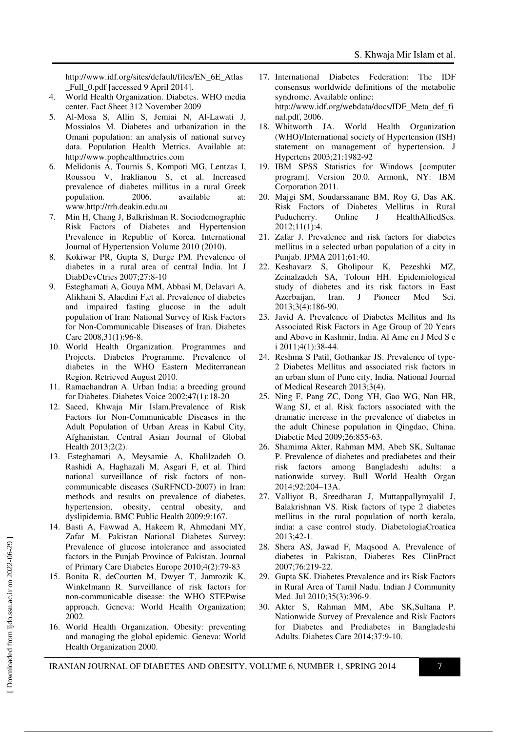http://www.idf.org/sites/default/files/EN\_6E\_Atlas Full 0.pdf [accessed 9 April 2014].

- 4. World Health Organization. Diabetes. WHO media center. Fact Sheet 312 November 2009
- 5. Al-Mosa S, Allin S, Jemiai N, Al-Lawati J, Mossialos M. Diabetes and urbanization in the Omani population: an analysis of national survey data. Population Health Metrics. Available at: http://www.pophealthmetrics.com
- 6. Melidonis A, Tournis S, Kompoti MG, Lentzas I, Roussou V, Iraklianou S, et al. Increased prevalence of diabetes millitus in a rural Greek<br>population. 2006. available at population. 2006. available at: www.http://rrh.deakin.edu.au
- 7. Min H, Chang J, Balkrishnan R. Sociodemographic Risk Factors of Diabetes and Hypertension Prevalence in Republic of Korea. International Journal of Hypertension Volume 2010 (2010).
- 8. Kokiwar PR, Gupta S, Durge PM. Prevalence of diabetes in a rural area of central India. Int J DiabDevCtries 2007;27:8-10
- 9. Esteghamati A, Gouya MM, Abbasi M, Delavari A, Alikhani S, Alaedini F,et al. Prevalence of diabetes and impaired fasting glucose in the adult population of Iran: National Survey of Risk Factors for Non-Communicable Diseases of Iran. Diabetes Care 2008,31(1):96-8.
- 10. World Health Organization. Programmes and Projects. Diabetes Programme. Prevalence of diabetes in the WHO Eastern Mediterranean Region. Retrieved August 2010.
- 11. Ramachandran A. Urban India: a breeding ground for Diabetes. Diabetes Voice 2002;47(1):18-20
- 12. Saeed, Khwaja Mir Islam.Prevalence of Risk Factors for Non-Communicable Diseases in the Adult Population of Urban Areas in Kabul City, Afghanistan. Central Asian Journal of Global Health 2013;2(2).
- 13. Esteghamati A, Meysamie A, Khalilzadeh O, Rashidi A, Haghazali M, Asgari F, et al. Third national surveillance of risk factors of noncommunicable diseases (SuRFNCD-2007) in Iran: methods and results on prevalence of diabetes, hypertension, obesity, central obesity, and dyslipidemia. BMC Public Health 2009;9:167.
- 14. Basti A, Fawwad A, Hakeem R, Ahmedani MY, Zafar M. Pakistan National Diabetes Survey: Prevalence of glucose intolerance and associated factors in the Punjab Province of Pakistan. Journal of Primary Care Diabetes Europe 2010;4(2):79-83
- 15. Bonita R, deCourten M, Dwyer T, Jamrozik K, Winkelmann R. Surveillance of risk factors for non-communicable disease: the WHO STEPwise approach. Geneva: World Health Organization; 2002.
- 16. World Health Organization. Obesity: preventing and managing the global epidemic. Geneva: World Health Organization 2000.
- 17. International Diabetes Federation: The IDF consensus worldwide definitions of the metabolic syndrome. Available online: http://www.idf.org/webdata/docs/IDF\_Meta\_def\_fi nal.pdf, 2006.
- 18. Whitworth JA. World Health Organization (WHO)/International society of Hypertension (ISH) statement on management of hypertension. J Hypertens 2003;21:1982-92
- 19. IBM SPSS Statistics for Windows [computer program]. Version 20.0. Armonk, NY: IBM Corporation 2011.
- 20. Majgi SM, Soudarssanane BM, Roy G, Das AK. Risk Factors of Diabetes Mellitus in Rural Puducherry. Online J HealthAlliedScs*.*  2012;11(1):4.
- 21. Zafar J. Prevalence and risk factors for diabetes mellitus in a selected urban population of a city in Punjab. JPMA 2011;61:40.
- 22. Keshavarz S, Gholipour K, Pezeshki MZ, Zeinalzadeh SA, Toloun HH. Epidemiological study of diabetes and its risk factors in East Azerbaijan, Iran. J Pioneer Med Sci. 2013;3(4):186-90.
- 23. Javid A. Prevalence of Diabetes Mellitus and Its Associated Risk Factors in Age Group of 20 Years and Above in Kashmir, India. Al Ame en J Med S c i 2011;4(1):38-44.
- 24. Reshma S Patil, Gothankar JS. Prevalence of type-2 Diabetes Mellitus and associated risk factors in an urban slum of Pune city, India. National Journal of Medical Research 2013;3(4).
- 25. Ning F, Pang ZC, Dong YH, Gao WG, Nan HR, Wang SJ, et al. Risk factors associated with the dramatic increase in the prevalence of diabetes in the adult Chinese population in Qingdao, China. Diabetic Med 2009;26:855-63.
- 26. Shamima Akter, Rahman MM, Abeb SK, Sultanac P. Prevalence of diabetes and prediabetes and their risk factors among Bangladeshi adults: a nationwide survey. Bull World Health Organ 2014;92:204–13A.
- 27. Valliyot B, Sreedharan J, Muttappallymyalil J, Balakrishnan VS. Risk factors of type 2 diabetes mellitus in the rural population of north kerala, india: a case control study. DiabetologiaCroatica 2013;42-1.
- 28. Shera AS, Jawad F, Maqsood A. Prevalence of diabetes in Pakistan, Diabetes Res ClinPract 2007;76:219-22.
- 29. Gupta SK. Diabetes Prevalence and its Risk Factors in Rural Area of Tamil Nadu. Indian J Community Med. Jul 2010;35(3):396-9.
- 30. Akter S, Rahman MM, Abe SK,Sultana P. Nationwide Survey of Prevalence and Risk Factors for Diabetes and Prediabetes in Bangladeshi Adults. Diabetes Care 2014;37:9-10.